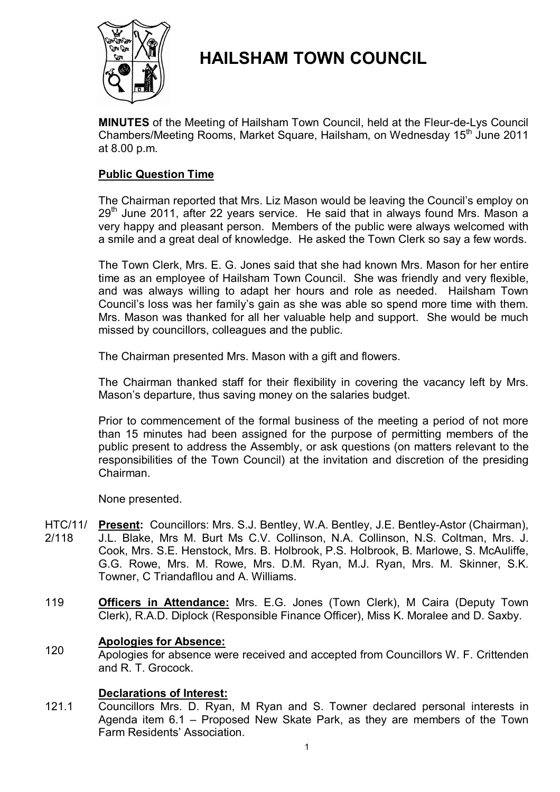

# **HAILSHAM TOWN COUNCIL**

**MINUTES** of the Meeting of Hailsham Town Council, held at the Fleur-de-Lys Council Chambers/Meeting Rooms, Market Square, Hailsham, on Wednesday 15<sup>th</sup> June 2011 at 8.00 p.m.

# **Public Question Time**

The Chairman reported that Mrs. Liz Mason would be leaving the Council's employ on 29<sup>th</sup> June 2011, after 22 years service. He said that in always found Mrs. Mason a very happy and pleasant person. Members of the public were always welcomed with a smile and a great deal of knowledge. He asked the Town Clerk so say a few words.

The Town Clerk, Mrs. E. G. Jones said that she had known Mrs. Mason for her entire time as an employee of Hailsham Town Council. She was friendly and very flexible, and was always willing to adapt her hours and role as needed. Hailsham Town Council's loss was her family's gain as she was able so spend more time with them. Mrs. Mason was thanked for all her valuable help and support. She would be much missed by councillors, colleagues and the public.

The Chairman presented Mrs. Mason with a gift and flowers.

The Chairman thanked staff for their flexibility in covering the vacancy left by Mrs. Mason's departure, thus saving money on the salaries budget.

Prior to commencement of the formal business of the meeting a period of not more than 15 minutes had been assigned for the purpose of permitting members of the public present to address the Assembly, or ask questions (on matters relevant to the responsibilities of the Town Council) at the invitation and discretion of the presiding Chairman.

None presented.

- HTC/11/ 2/118 Present: Councillors: Mrs. S.J. Bentley, W.A. Bentley, J.E. Bentley-Astor (Chairman), J.L. Blake, Mrs M. Burt Ms C.V. Collinson, N.A. Collinson, N.S. Coltman, Mrs. J. Cook, Mrs. S.E. Henstock, Mrs. B. Holbrook, P.S. Holbrook, B. Marlowe, S. McAuliffe, G.G. Rowe, Mrs. M. Rowe, Mrs. D.M. Ryan, M.J. Ryan, Mrs. M. Skinner, S.K. Towner, C Triandafllou and A. Williams.
- 119 **Officers in Attendance:** Mrs. E.G. Jones (Town Clerk), M Caira (Deputy Town Clerk), R.A.D. Diplock (Responsible Finance Officer), Miss K. Moralee and D. Saxby.

#### **Apologies for Absence:**

120 Apologies for absence were received and accepted from Councillors W. F. Crittenden and R. T. Grocock.

#### **Declarations of Interest:**

121.1 Councillors Mrs. D. Ryan, M Ryan and S. Towner declared personal interests in Agenda item 6.1 – Proposed New Skate Park, as they are members of the Town Farm Residents' Association.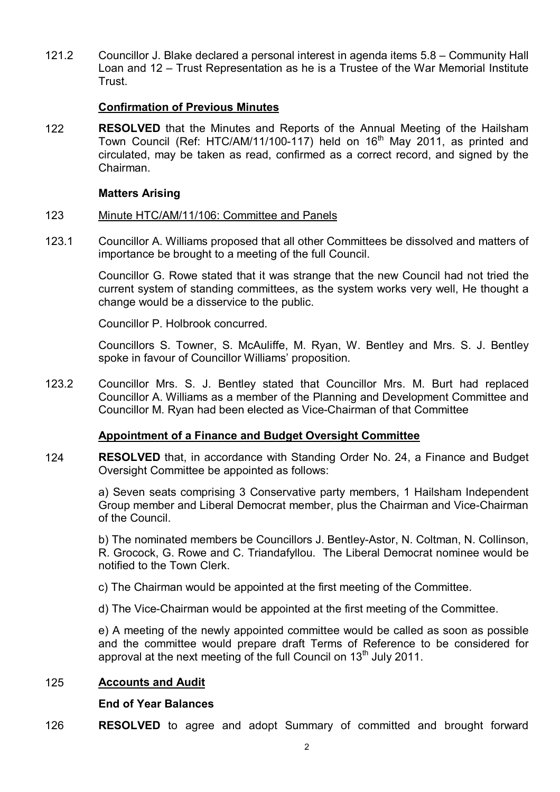121.2 Councillor J. Blake declared a personal interest in agenda items 5.8 – Community Hall Loan and 12 – Trust Representation as he is a Trustee of the War Memorial Institute **Trust** 

### **Confirmation of Previous Minutes**

122 **RESOLVED** that the Minutes and Reports of the Annual Meeting of the Hailsham Town Council (Ref: HTC/AM/11/100-117) held on  $16<sup>th</sup>$  May 2011, as printed and circulated, may be taken as read, confirmed as a correct record, and signed by the Chairman.

#### **Matters Arising**

- 123 Minute HTC/AM/11/106: Committee and Panels
- 123.1 Councillor A. Williams proposed that all other Committees be dissolved and matters of importance be brought to a meeting of the full Council.

Councillor G. Rowe stated that it was strange that the new Council had not tried the current system of standing committees, as the system works very well, He thought a change would be a disservice to the public.

Councillor P. Holbrook concurred.

Councillors S. Towner, S. McAuliffe, M. Ryan, W. Bentley and Mrs. S. J. Bentley spoke in favour of Councillor Williams' proposition.

123.2 Councillor Mrs. S. J. Bentley stated that Councillor Mrs. M. Burt had replaced Councillor A. Williams as a member of the Planning and Development Committee and Councillor M. Ryan had been elected as Vice-Chairman of that Committee

#### **Appointment of a Finance and Budget Oversight Committee**

124 **RESOLVED** that, in accordance with Standing Order No. 24, a Finance and Budget Oversight Committee be appointed as follows:

> a) Seven seats comprising 3 Conservative party members, 1 Hailsham Independent Group member and Liberal Democrat member, plus the Chairman and Vice-Chairman of the Council.

> b) The nominated members be Councillors J. Bentley-Astor, N. Coltman, N. Collinson, R. Grocock, G. Rowe and C. Triandafyllou. The Liberal Democrat nominee would be notified to the Town Clerk.

c) The Chairman would be appointed at the first meeting of the Committee.

d) The Vice-Chairman would be appointed at the first meeting of the Committee.

e) A meeting of the newly appointed committee would be called as soon as possible and the committee would prepare draft Terms of Reference to be considered for approval at the next meeting of the full Council on  $13<sup>th</sup>$  July 2011.

#### 125 **Accounts and Audit**

#### **End of Year Balances**

126 **RESOLVED** to agree and adopt Summary of committed and brought forward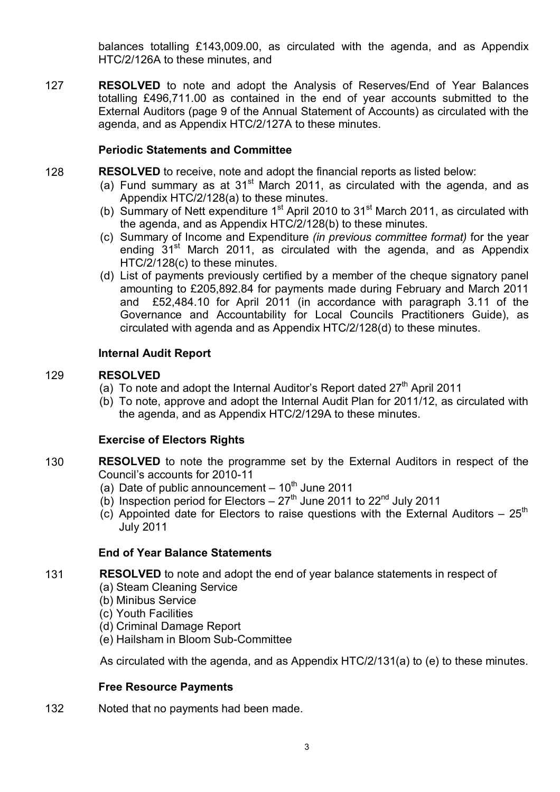balances totalling £143,009.00, as circulated with the agenda, and as Appendix HTC/2/126A to these minutes, and

127 **RESOLVED** to note and adopt the Analysis of Reserves/End of Year Balances totalling £496,711.00 as contained in the end of year accounts submitted to the External Auditors (page 9 of the Annual Statement of Accounts) as circulated with the agenda, and as Appendix HTC/2/127A to these minutes.

### **Periodic Statements and Committee**

128 **RESOLVED** to receive, note and adopt the financial reports as listed below:

- (a) Fund summary as at  $31<sup>st</sup>$  March 2011, as circulated with the agenda, and as Appendix HTC/2/128(a) to these minutes.
- (b) Summary of Nett expenditure 1<sup>st</sup> April 2010 to 31<sup>st</sup> March 2011, as circulated with the agenda, and as Appendix HTC/2/128(b) to these minutes.
- (c) Summary of Income and Expenditure *(in previous committee format)* for the year ending 31<sup>st</sup> March 2011, as circulated with the agenda, and as Appendix HTC/2/128(c) to these minutes.
- (d) List of payments previously certified by a member of the cheque signatory panel amounting to £205,892.84 for payments made during February and March 2011 and £52,484.10 for April 2011 (in accordance with paragraph 3.11 of the Governance and Accountability for Local Councils Practitioners Guide), as circulated with agenda and as Appendix HTC/2/128(d) to these minutes.

### **Internal Audit Report**

#### 129 **RESOLVED**

- (a) To note and adopt the Internal Auditor's Report dated  $27<sup>th</sup>$  April 2011
- (b) To note, approve and adopt the Internal Audit Plan for 2011/12, as circulated with the agenda, and as Appendix HTC/2/129A to these minutes.

# **Exercise of Electors Rights**

- 130 **RESOLVED** to note the programme set by the External Auditors in respect of the Council's accounts for 2010-11
	- (a) Date of public announcement  $-10^{th}$  June 2011
	- (b) Inspection period for Electors  $-27<sup>th</sup>$  June 2011 to 22<sup>nd</sup> July 2011
	- (c) Appointed date for Electors to raise questions with the External Auditors  $25<sup>th</sup>$ July 2011

# **End of Year Balance Statements**

- 131 **RESOLVED** to note and adopt the end of year balance statements in respect of (a) Steam Cleaning Service
	- (b) Minibus Service
	- (c) Youth Facilities
	- (d) Criminal Damage Report
	- (e) Hailsham in Bloom Sub-Committee

As circulated with the agenda, and as Appendix HTC/2/131(a) to (e) to these minutes.

# **Free Resource Payments**

132 Noted that no payments had been made.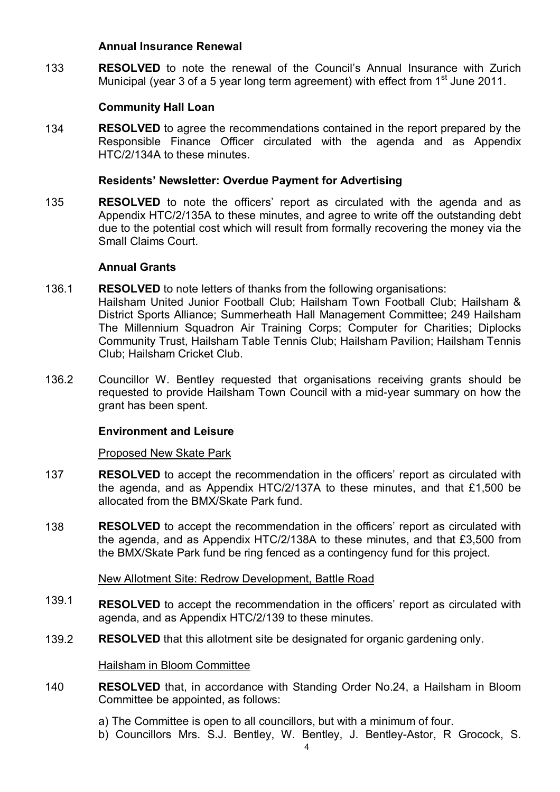#### **Annual Insurance Renewal**

133 **RESOLVED** to note the renewal of the Council's Annual Insurance with Zurich Municipal (year 3 of a 5 year long term agreement) with effect from  $1<sup>st</sup>$  June 2011.

#### **Community Hall Loan**

134 **RESOLVED** to agree the recommendations contained in the report prepared by the Responsible Finance Officer circulated with the agenda and as Appendix HTC/2/134A to these minutes.

#### **Residents' Newsletter: Overdue Payment for Advertising**

135 **RESOLVED** to note the officers' report as circulated with the agenda and as Appendix HTC/2/135A to these minutes, and agree to write off the outstanding debt due to the potential cost which will result from formally recovering the money via the Small Claims Court.

#### **Annual Grants**

- 136.1 **RESOLVED** to note letters of thanks from the following organisations:
	- Hailsham United Junior Football Club; Hailsham Town Football Club; Hailsham & District Sports Alliance; Summerheath Hall Management Committee; 249 Hailsham The Millennium Squadron Air Training Corps; Computer for Charities; Diplocks Community Trust, Hailsham Table Tennis Club; Hailsham Pavilion; Hailsham Tennis Club; Hailsham Cricket Club.
- 136.2 Councillor W. Bentley requested that organisations receiving grants should be requested to provide Hailsham Town Council with a mid-year summary on how the grant has been spent.

#### **Environment and Leisure**

#### Proposed New Skate Park

- 137 **RESOLVED** to accept the recommendation in the officers' report as circulated with the agenda, and as Appendix HTC/2/137A to these minutes, and that £1,500 be allocated from the BMX/Skate Park fund.
- 138 **RESOLVED** to accept the recommendation in the officers' report as circulated with the agenda, and as Appendix HTC/2/138A to these minutes, and that £3,500 from the BMX/Skate Park fund be ring fenced as a contingency fund for this project.

#### New Allotment Site: Redrow Development, Battle Road

- 139.1 **RESOLVED** to accept the recommendation in the officers' report as circulated with agenda, and as Appendix HTC/2/139 to these minutes.
- 139.2 **RESOLVED** that this allotment site be designated for organic gardening only.

#### Hailsham in Bloom Committee

- 140 **RESOLVED** that, in accordance with Standing Order No.24, a Hailsham in Bloom Committee be appointed, as follows:
	- a) The Committee is open to all councillors, but with a minimum of four.
	- b) Councillors Mrs. S.J. Bentley, W. Bentley, J. Bentley-Astor, R Grocock, S.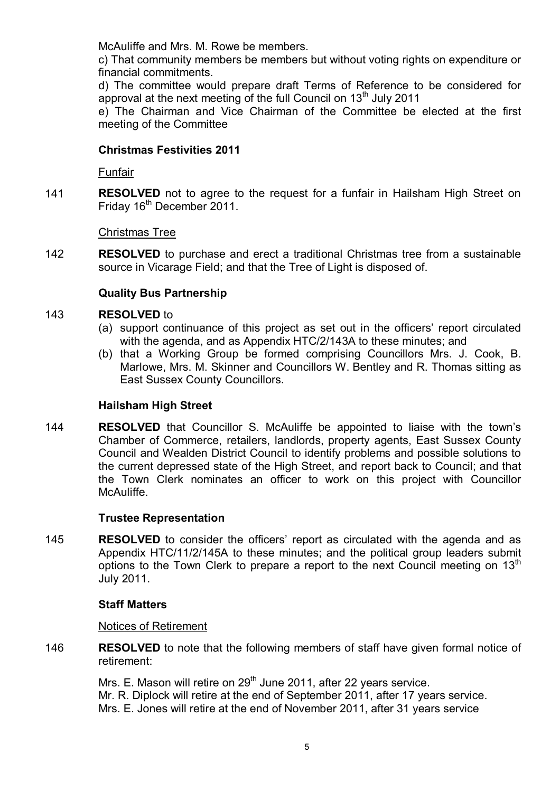McAuliffe and Mrs. M. Rowe be members.

c) That community members be members but without voting rights on expenditure or financial commitments.

d) The committee would prepare draft Terms of Reference to be considered for approval at the next meeting of the full Council on  $13<sup>th</sup>$  July 2011

e) The Chairman and Vice Chairman of the Committee be elected at the first meeting of the Committee

### **Christmas Festivities 2011**

Funfair

141 **RESOLVED** not to agree to the request for a funfair in Hailsham High Street on Friday 16<sup>th</sup> December 2011.

Christmas Tree

142 **RESOLVED** to purchase and erect a traditional Christmas tree from a sustainable source in Vicarage Field; and that the Tree of Light is disposed of.

# **Quality Bus Partnership**

#### 143 **RESOLVED** to

- (a) support continuance of this project as set out in the officers' report circulated with the agenda, and as Appendix HTC/2/143A to these minutes; and
- (b) that a Working Group be formed comprising Councillors Mrs. J. Cook, B. Marlowe, Mrs. M. Skinner and Councillors W. Bentley and R. Thomas sitting as East Sussex County Councillors.

# **Hailsham High Street**

144 **RESOLVED** that Councillor S. McAuliffe be appointed to liaise with the town's Chamber of Commerce, retailers, landlords, property agents, East Sussex County Council and Wealden District Council to identify problems and possible solutions to the current depressed state of the High Street, and report back to Council; and that the Town Clerk nominates an officer to work on this project with Councillor McAuliffe.

#### **Trustee Representation**

145 **RESOLVED** to consider the officers' report as circulated with the agenda and as Appendix HTC/11/2/145A to these minutes; and the political group leaders submit options to the Town Clerk to prepare a report to the next Council meeting on  $13<sup>th</sup>$ July 2011.

# **Staff Matters**

Notices of Retirement

146 **RESOLVED** to note that the following members of staff have given formal notice of retirement:

> Mrs. E. Mason will retire on 29<sup>th</sup> June 2011, after 22 years service. Mr. R. Diplock will retire at the end of September 2011, after 17 years service. Mrs. E. Jones will retire at the end of November 2011, after 31 years service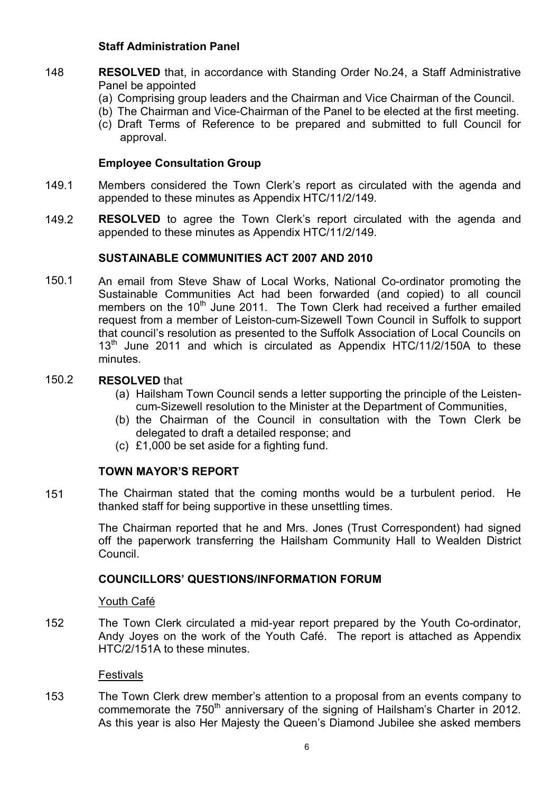#### **Staff Administration Panel**

- 148 **RESOLVED** that, in accordance with Standing Order No.24, a Staff Administrative Panel be appointed
	- (a) Comprising group leaders and the Chairman and Vice Chairman of the Council.
	- (b) The Chairman and Vice-Chairman of the Panel to be elected at the first meeting.
	- (c) Draft Terms of Reference to be prepared and submitted to full Council for approval.

### **Employee Consultation Group**

- 149.1 Members considered the Town Clerk's report as circulated with the agenda and appended to these minutes as Appendix HTC/11/2/149.
- 149.2 **RESOLVED** to agree the Town Clerk's report circulated with the agenda and appended to these minutes as Appendix HTC/11/2/149.

### **SUSTAINABLE COMMUNITIES ACT 2007 AND 2010**

150.1 An email from Steve Shaw of Local Works, National Co-ordinator promoting the Sustainable Communities Act had been forwarded (and copied) to all council members on the 10<sup>th</sup> June 2011. The Town Clerk had received a further emailed request from a member of Leiston-cum-Sizewell Town Council in Suffolk to support that council's resolution as presented to the Suffolk Association of Local Councils on  $13<sup>th</sup>$  June 2011 and which is circulated as Appendix HTC/11/2/150A to these minutes.

#### 150.2 **RESOLVED** that

- (a) Hailsham Town Council sends a letter supporting the principle of the Leistencum-Sizewell resolution to the Minister at the Department of Communities,
- (b) the Chairman of the Council in consultation with the Town Clerk be delegated to draft a detailed response; and
- (c) £1,000 be set aside for a fighting fund.

#### **TOWN MAYOR'S REPORT**

151 The Chairman stated that the coming months would be a turbulent period. He thanked staff for being supportive in these unsettling times.

> The Chairman reported that he and Mrs. Jones (Trust Correspondent) had signed off the paperwork transferring the Hailsham Community Hall to Wealden District Council.

#### **COUNCILLORS' QUESTIONS/INFORMATION FORUM**

#### Youth Café

152 The Town Clerk circulated a mid-year report prepared by the Youth Co-ordinator, Andy Joyes on the work of the Youth Café. The report is attached as Appendix HTC/2/151A to these minutes.

#### **Festivals**

153 The Town Clerk drew member's attention to a proposal from an events company to commemorate the 750<sup>th</sup> anniversary of the signing of Hailsham's Charter in 2012. As this year is also Her Majesty the Queen's Diamond Jubilee she asked members